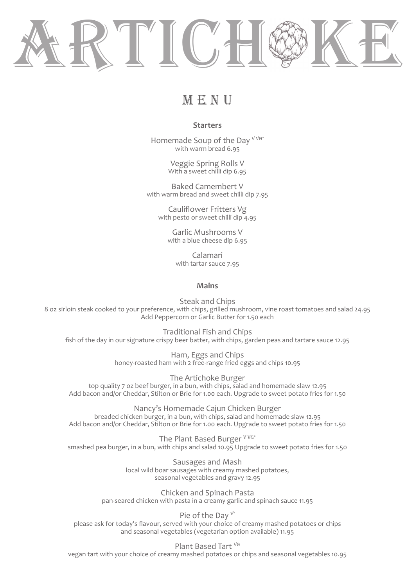

# MENU

## **Starters**

Homemade Soup of the Dav V VG\* with warm bread 6.95

> Veggie Spring Rolls V With a sweet chilli dip 6.95

Baked Camembert V with warm bread and sweet chilli dip 7.95

Cauliflower Fritters Vg with pesto or sweet chilli dip 4.95

> Garlic Mushrooms V with a blue cheese dip 6.95

Calamari with tartar sauce 7.95

### **Mains**

Steak and Chips 8 oz sirloin steak cooked to your preference, with chips, grilled mushroom, vine roast tomatoes and salad 24.95 Add Peppercorn or Garlic Butter for 1.50 each

Traditional Fish and Chips fish of the day in our signature crispy beer batter, with chips, garden peas and tartare sauce 12.95

> Ham, Eggs and Chips honey-roasted ham with 2 free-range fried eggs and chips 10.95

The Artichoke Burger top quality 7 oz beef burger, in a bun, with chips, salad and homemade slaw 12.95 Add bacon and/or Cheddar, Stilton or Brie for 1.00 each. Upgrade to sweet potato fries for 1.50

Nancy's Homemade Cajun Chicken Burger breaded chicken burger, in a bun, with chips, salad and homemade slaw 12.95 Add bacon and/or Cheddar, Stilton or Brie for 1.00 each. Upgrade to sweet potato fries for 1.50

The Plant Based Burger V VG\* smashed pea burger, in a bun, with chips and salad 10.95 Upgrade to sweet potato fries for 1.50

> Sausages and Mash local wild boar sausages with creamy mashed potatoes, seasonal vegetables and gravy 12.95

Chicken and Spinach Pasta pan-seared chicken with pasta in a creamy garlic and spinach sauce 11.95

Pie of the Dav  $V^*$ please ask for today's flavour, served with your choice of creamy mashed potatoes or chips and seasonal vegetables (vegetarian option available) 11.95

Plant Based Tart VG vegan tart with your choice of creamy mashed potatoes or chips and seasonal vegetables 10.95